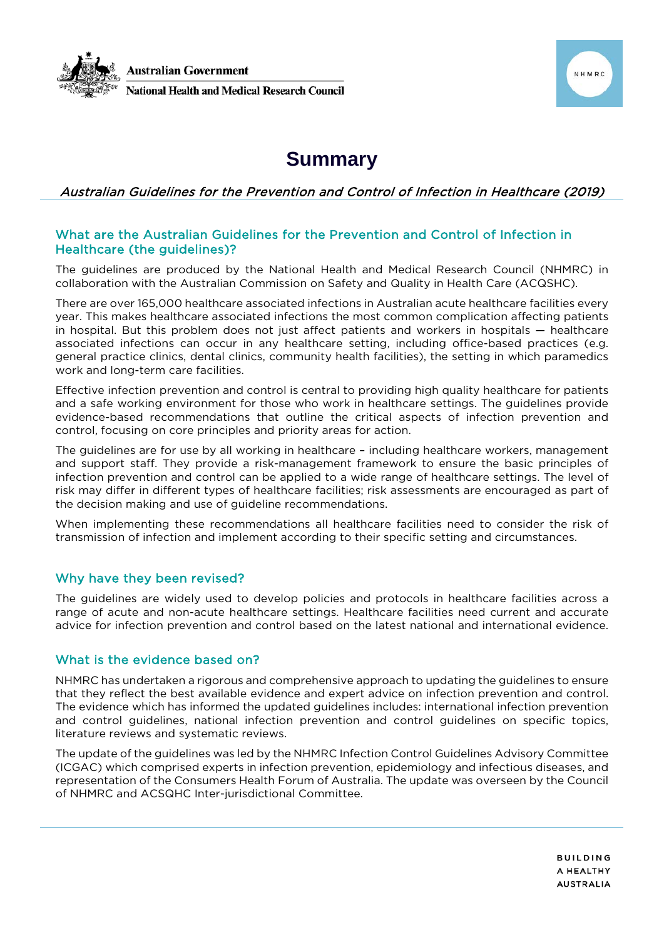



# **Summary**

# Australian Guidelines for the Prevention and Control of Infection in Healthcare (2019)

## What are the Australian Guidelines for the Prevention and Control of Infection in Healthcare (the guidelines)?

The guidelines are produced by the National Health and Medical Research Council (NHMRC) in collaboration with the Australian Commission on Safety and Quality in Health Care (ACQSHC).

There are over 165,000 healthcare associated infections in Australian acute healthcare facilities every year. This makes healthcare associated infections the most common complication affecting patients in hospital. But this problem does not just affect patients and workers in hospitals — healthcare associated infections can occur in any healthcare setting, including office-based practices (e.g. general practice clinics, dental clinics, community health facilities), the setting in which paramedics work and long-term care facilities.

Effective infection prevention and control is central to providing high quality healthcare for patients and a safe working environment for those who work in healthcare settings. The guidelines provide evidence-based recommendations that outline the critical aspects of infection prevention and control, focusing on core principles and priority areas for action.

The guidelines are for use by all working in healthcare – including healthcare workers, management and support staff. They provide a risk-management framework to ensure the basic principles of infection prevention and control can be applied to a wide range of healthcare settings. The level of risk may differ in different types of healthcare facilities; risk assessments are encouraged as part of the decision making and use of guideline recommendations.

When implementing these recommendations all healthcare facilities need to consider the risk of transmission of infection and implement according to their specific setting and circumstances.

## Why have they been revised?

The guidelines are widely used to develop policies and protocols in healthcare facilities across a range of acute and non-acute healthcare settings. Healthcare facilities need current and accurate advice for infection prevention and control based on the latest national and international evidence.

## What is the evidence based on?

NHMRC has undertaken a rigorous and comprehensive approach to updating the guidelines to ensure that they reflect the best available evidence and expert advice on infection prevention and control. The evidence which has informed the updated guidelines includes: international infection prevention and control guidelines, national infection prevention and control guidelines on specific topics, literature reviews and systematic reviews.

The update of the guidelines was led by the NHMRC Infection Control Guidelines Advisory Committee (ICGAC) which comprised experts in infection prevention, epidemiology and infectious diseases, and representation of the Consumers Health Forum of Australia. The update was overseen by the Council of NHMRC and ACSQHC Inter-jurisdictional Committee.

> **BUILDING** A HEALTHY **AUSTRALIA**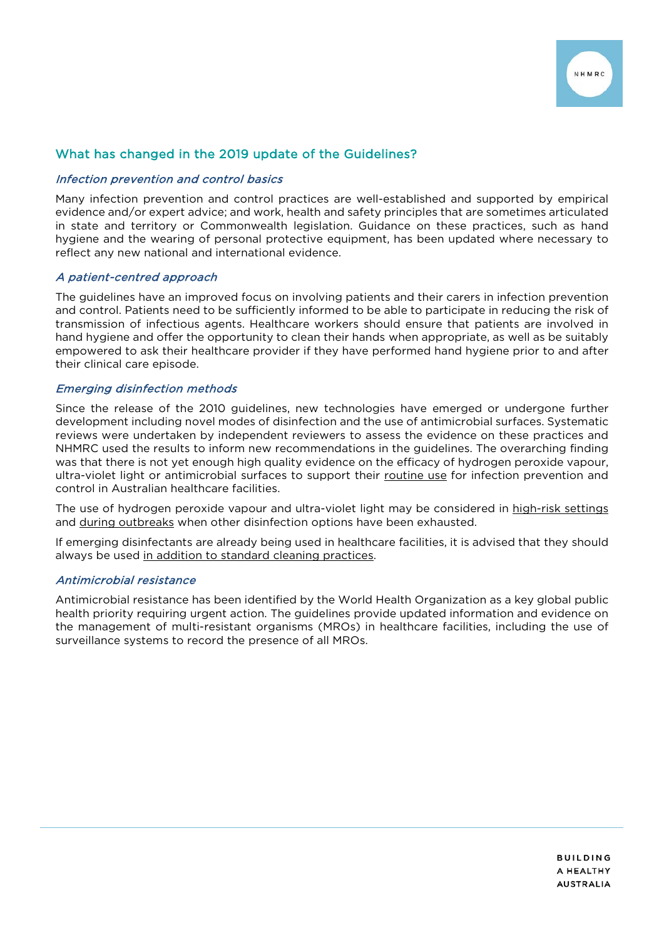

## What has changed in the 2019 update of the Guidelines?

#### Infection prevention and control basics

Many infection prevention and control practices are well-established and supported by empirical evidence and/or expert advice; and work, health and safety principles that are sometimes articulated in state and territory or Commonwealth legislation. Guidance on these practices, such as hand hygiene and the wearing of personal protective equipment, has been updated where necessary to reflect any new national and international evidence.

## A patient-centred approach

The guidelines have an improved focus on involving patients and their carers in infection prevention and control. Patients need to be sufficiently informed to be able to participate in reducing the risk of transmission of infectious agents. Healthcare workers should ensure that patients are involved in hand hygiene and offer the opportunity to clean their hands when appropriate, as well as be suitably empowered to ask their healthcare provider if they have performed hand hygiene prior to and after their clinical care episode.

## Emerging disinfection methods

Since the release of the 2010 guidelines, new technologies have emerged or undergone further development including novel modes of disinfection and the use of antimicrobial surfaces. Systematic reviews were undertaken by independent reviewers to assess the evidence on these practices and NHMRC used the results to inform new recommendations in the guidelines. The overarching finding was that there is not yet enough high quality evidence on the efficacy of hydrogen peroxide vapour, ultra-violet light or antimicrobial surfaces to support their routine use for infection prevention and control in Australian healthcare facilities.

The use of hydrogen peroxide vapour and ultra-violet light may be considered in high-risk settings and during outbreaks when other disinfection options have been exhausted.

If emerging disinfectants are already being used in healthcare facilities, it is advised that they should always be used in addition to standard cleaning practices.

#### Antimicrobial resistance

Antimicrobial resistance has been identified by the World Health Organization as a key global public health priority requiring urgent action. The guidelines provide updated information and evidence on the management of multi-resistant organisms (MROs) in healthcare facilities, including the use of surveillance systems to record the presence of all MROs.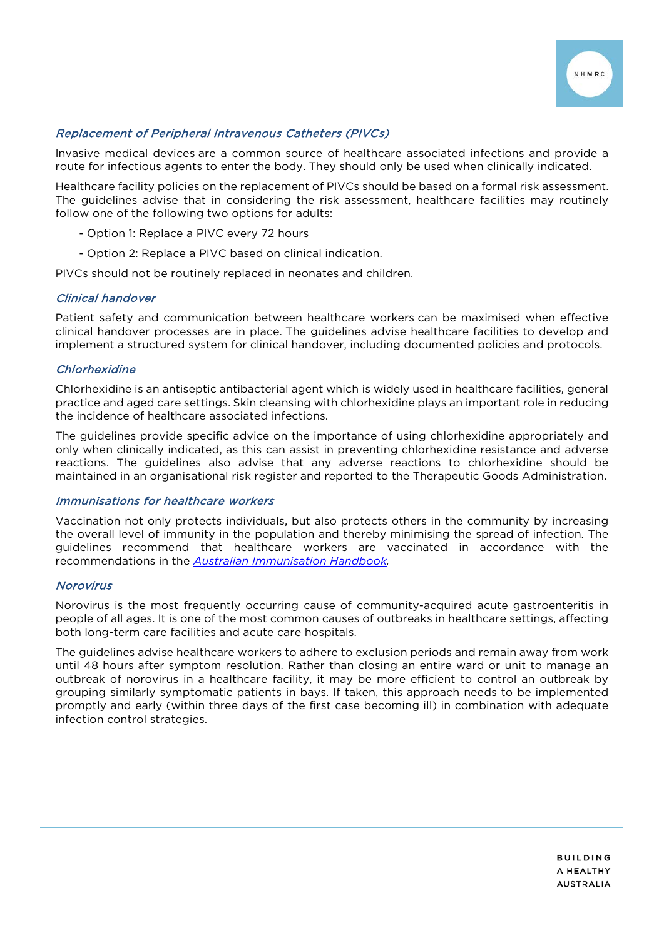

## Replacement of Peripheral Intravenous Catheters (PIVCs)

Invasive medical devices are a common source of healthcare associated infections and provide a route for infectious agents to enter the body. They should only be used when clinically indicated.

Healthcare facility policies on the replacement of PIVCs should be based on a formal risk assessment. The guidelines advise that in considering the risk assessment, healthcare facilities may routinely follow one of the following two options for adults:

- Option 1: Replace a PIVC every 72 hours
- Option 2: Replace a PIVC based on clinical indication.

PIVCs should not be routinely replaced in neonates and children.

#### Clinical handover

Patient safety and communication between healthcare workers can be maximised when effective clinical handover processes are in place. The guidelines advise healthcare facilities to develop and implement a structured system for clinical handover, including documented policies and protocols.

## **Chlorhexidine**

Chlorhexidine is an antiseptic antibacterial agent which is widely used in healthcare facilities, general practice and aged care settings. Skin cleansing with chlorhexidine plays an important role in reducing the incidence of healthcare associated infections.

The guidelines provide specific advice on the importance of using chlorhexidine appropriately and only when clinically indicated, as this can assist in preventing chlorhexidine resistance and adverse reactions. The guidelines also advise that any adverse reactions to chlorhexidine should be maintained in an organisational risk register and reported to the Therapeutic Goods Administration.

#### Immunisations for healthcare workers

Vaccination not only protects individuals, but also protects others in the community by increasing the overall level of immunity in the population and thereby minimising the spread of infection. The guidelines recommend that healthcare workers are vaccinated in accordance with the recommendations in the *[Australian Immunisation Handbook.](https://immunisationhandbook.health.gov.au/)*

#### Norovirus

Norovirus is the most frequently occurring cause of community-acquired acute gastroenteritis in people of all ages. It is one of the most common causes of outbreaks in healthcare settings, affecting both long-term care facilities and acute care hospitals.

The guidelines advise healthcare workers to adhere to exclusion periods and remain away from work until 48 hours after symptom resolution. Rather than closing an entire ward or unit to manage an outbreak of norovirus in a healthcare facility, it may be more efficient to control an outbreak by grouping similarly symptomatic patients in bays. If taken, this approach needs to be implemented promptly and early (within three days of the first case becoming ill) in combination with adequate infection control strategies.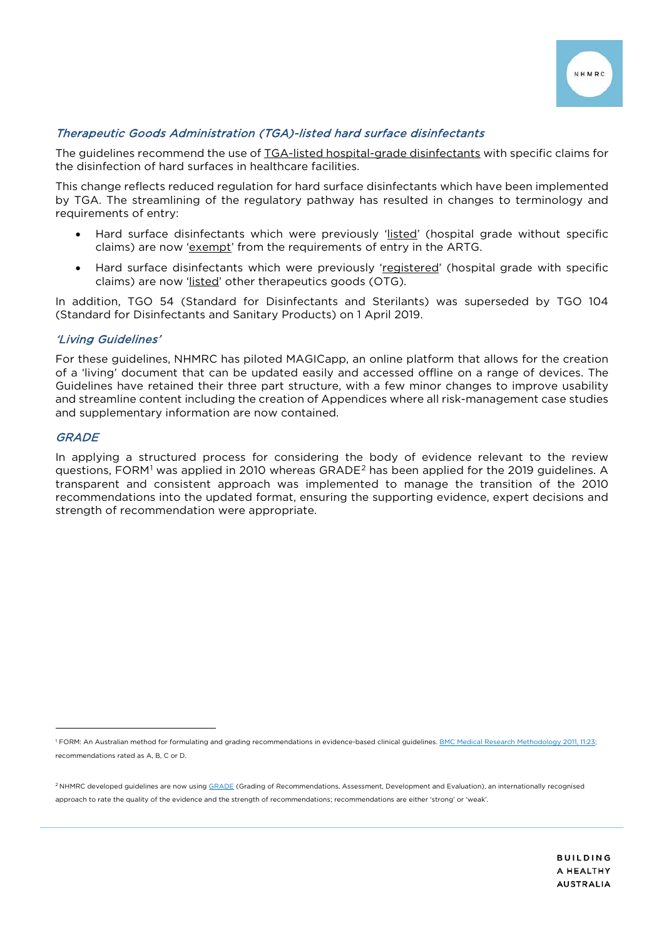

## Therapeutic Goods Administration (TGA)-listed hard surface disinfectants

The guidelines recommend the use of TGA-listed hospital-grade disinfectants with specific claims for the disinfection of hard surfaces in healthcare facilities.

This change reflects reduced regulation for hard surface disinfectants which have been implemented by TGA. The streamlining of the regulatory pathway has resulted in changes to terminology and requirements of entry:

- Hard surface disinfectants which were previously 'listed' (hospital grade without specific claims) are now ['exempt'](https://www.tga.gov.au/future-regulation-low-risk-products#exempt-goods) from the requirements of entry in the ARTG.
- Hard surface disinfectants which were previously 'registered' (hospital grade with specific claims) are now 'listed' other therapeutics goods (OTG).

In addition, TGO 54 (Standard for Disinfectants and Sterilants) was superseded by TGO 104 (Standard for Disinfectants and Sanitary Products) on 1 April 2019.

#### 'Living Guidelines'

For these guidelines, NHMRC has piloted MAGICapp, an online platform that allows for the creation of a 'living' document that can be updated easily and accessed offline on a range of devices. The Guidelines have retained their three part structure, with a few minor changes to improve usability and streamline content including the creation of Appendices where all risk-management case studies and supplementary information are now contained.

## **GRADE**

j

In applying a structured process for considering the body of evidence relevant to the review guestions, FORM<sup>[1](#page-3-0)</sup> was applied in [2](#page-3-1)010 whereas GRADE<sup>2</sup> has been applied for the 2019 guidelines. A transparent and consistent approach was implemented to manage the transition of the 2010 recommendations into the updated format, ensuring the supporting evidence, expert decisions and strength of recommendation were appropriate.

<span id="page-3-0"></span><sup>&</sup>lt;sup>1</sup> FORM: An Australian method for formulating and grading recommendations in evidence-based clinical guidelines. BMC Medical Research Methodology 2011, 11:23; recommendations rated as A, B, C or D.

<span id="page-3-1"></span><sup>&</sup>lt;sup>2</sup> NHMRC developed guidelines are now using [GRADE](http://www.gradeworkinggroup.org/) (Grading of Recommendations, Assessment, Development and Evaluation), an internationally recognised approach to rate the quality of the evidence and the strength of recommendations; recommendations are either 'strong' or 'weak'.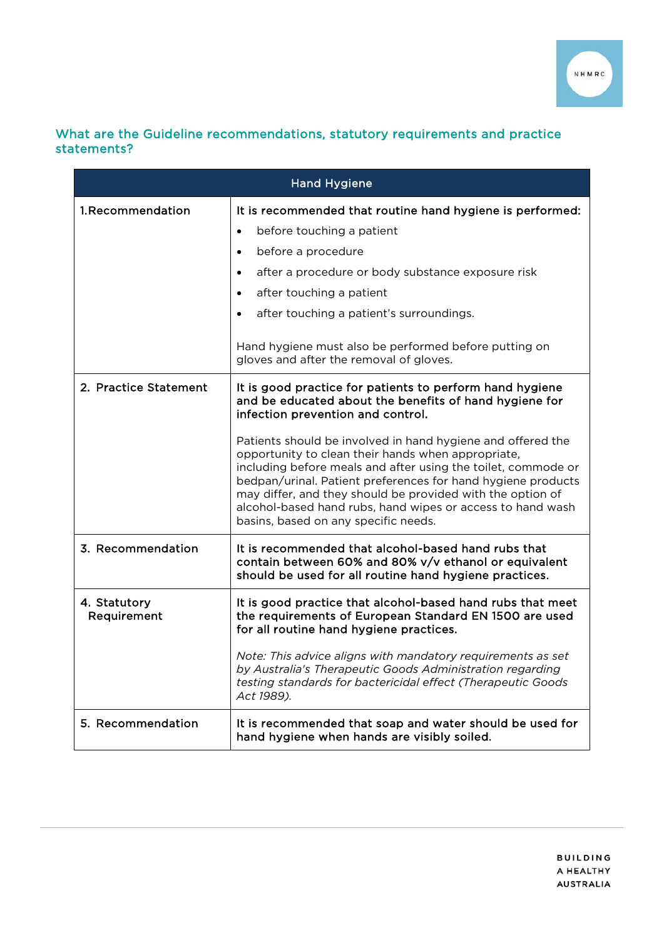

# What are the Guideline recommendations, statutory requirements and practice statements?

| <b>Hand Hygiene</b>         |                                                                                                                                                                                                                                                                                                                                                                                                                                                                                                                                                                                   |
|-----------------------------|-----------------------------------------------------------------------------------------------------------------------------------------------------------------------------------------------------------------------------------------------------------------------------------------------------------------------------------------------------------------------------------------------------------------------------------------------------------------------------------------------------------------------------------------------------------------------------------|
| 1.Recommendation            | It is recommended that routine hand hygiene is performed:<br>before touching a patient<br>$\bullet$<br>before a procedure<br>$\bullet$<br>after a procedure or body substance exposure risk<br>$\bullet$<br>after touching a patient<br>$\bullet$<br>after touching a patient's surroundings.<br>$\bullet$<br>Hand hygiene must also be performed before putting on<br>gloves and after the removal of gloves.                                                                                                                                                                    |
| 2. Practice Statement       | It is good practice for patients to perform hand hygiene<br>and be educated about the benefits of hand hygiene for<br>infection prevention and control.<br>Patients should be involved in hand hygiene and offered the<br>opportunity to clean their hands when appropriate,<br>including before meals and after using the toilet, commode or<br>bedpan/urinal. Patient preferences for hand hygiene products<br>may differ, and they should be provided with the option of<br>alcohol-based hand rubs, hand wipes or access to hand wash<br>basins, based on any specific needs. |
| 3. Recommendation           | It is recommended that alcohol-based hand rubs that<br>contain between 60% and 80% v/v ethanol or equivalent<br>should be used for all routine hand hygiene practices.                                                                                                                                                                                                                                                                                                                                                                                                            |
| 4. Statutory<br>Requirement | It is good practice that alcohol-based hand rubs that meet<br>the requirements of European Standard EN 1500 are used<br>for all routine hand hygiene practices.<br>Note: This advice aligns with mandatory requirements as set<br>by Australia's Therapeutic Goods Administration regarding<br>testing standards for bactericidal effect (Therapeutic Goods<br>Act 1989).                                                                                                                                                                                                         |
| 5. Recommendation           | It is recommended that soap and water should be used for<br>hand hygiene when hands are visibly soiled.                                                                                                                                                                                                                                                                                                                                                                                                                                                                           |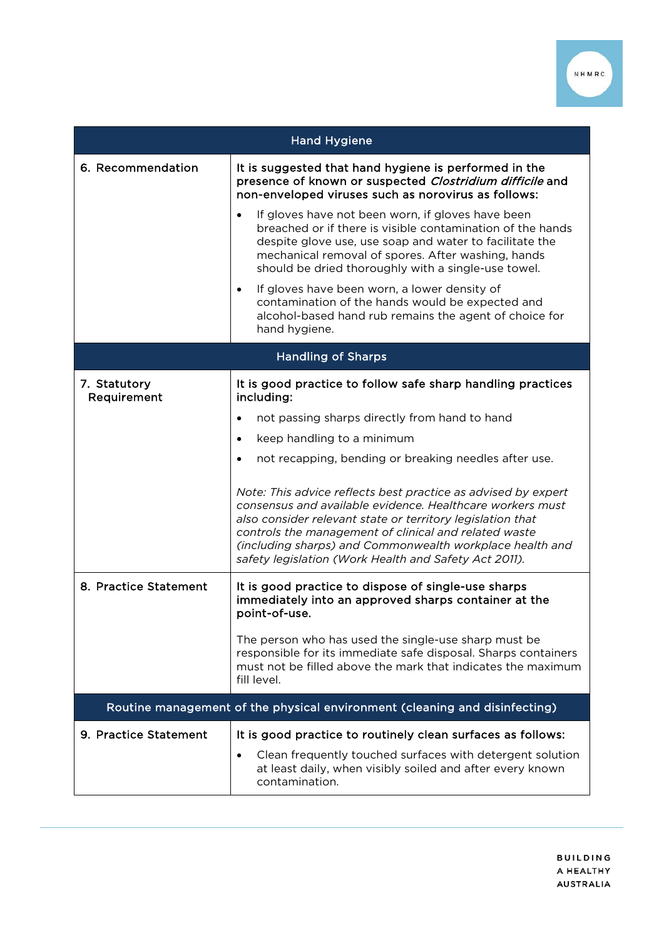

| <b>Hand Hygiene</b>         |                                                                                                                                                                                                                                                                                                                                                                        |
|-----------------------------|------------------------------------------------------------------------------------------------------------------------------------------------------------------------------------------------------------------------------------------------------------------------------------------------------------------------------------------------------------------------|
| 6. Recommendation           | It is suggested that hand hygiene is performed in the<br>presence of known or suspected Clostridium difficile and<br>non-enveloped viruses such as norovirus as follows:                                                                                                                                                                                               |
|                             | If gloves have not been worn, if gloves have been<br>breached or if there is visible contamination of the hands<br>despite glove use, use soap and water to facilitate the<br>mechanical removal of spores. After washing, hands<br>should be dried thoroughly with a single-use towel.                                                                                |
|                             | If gloves have been worn, a lower density of<br>$\bullet$<br>contamination of the hands would be expected and<br>alcohol-based hand rub remains the agent of choice for<br>hand hygiene.                                                                                                                                                                               |
| <b>Handling of Sharps</b>   |                                                                                                                                                                                                                                                                                                                                                                        |
| 7. Statutory<br>Requirement | It is good practice to follow safe sharp handling practices<br>including:                                                                                                                                                                                                                                                                                              |
|                             | not passing sharps directly from hand to hand                                                                                                                                                                                                                                                                                                                          |
|                             | keep handling to a minimum<br>$\bullet$                                                                                                                                                                                                                                                                                                                                |
|                             | not recapping, bending or breaking needles after use.<br>$\bullet$                                                                                                                                                                                                                                                                                                     |
|                             | Note: This advice reflects best practice as advised by expert<br>consensus and available evidence. Healthcare workers must<br>also consider relevant state or territory legislation that<br>controls the management of clinical and related waste<br>(including sharps) and Commonwealth workplace health and<br>safety legislation (Work Health and Safety Act 2011). |
| 8. Practice Statement       | It is good practice to dispose of single-use sharps<br>immediately into an approved sharps container at the<br>point-of-use.                                                                                                                                                                                                                                           |
|                             | The person who has used the single-use sharp must be<br>responsible for its immediate safe disposal. Sharps containers<br>must not be filled above the mark that indicates the maximum<br>fill level.                                                                                                                                                                  |
|                             | Routine management of the physical environment (cleaning and disinfecting)                                                                                                                                                                                                                                                                                             |
| 9. Practice Statement       | It is good practice to routinely clean surfaces as follows:                                                                                                                                                                                                                                                                                                            |
|                             | Clean frequently touched surfaces with detergent solution<br>at least daily, when visibly soiled and after every known<br>contamination.                                                                                                                                                                                                                               |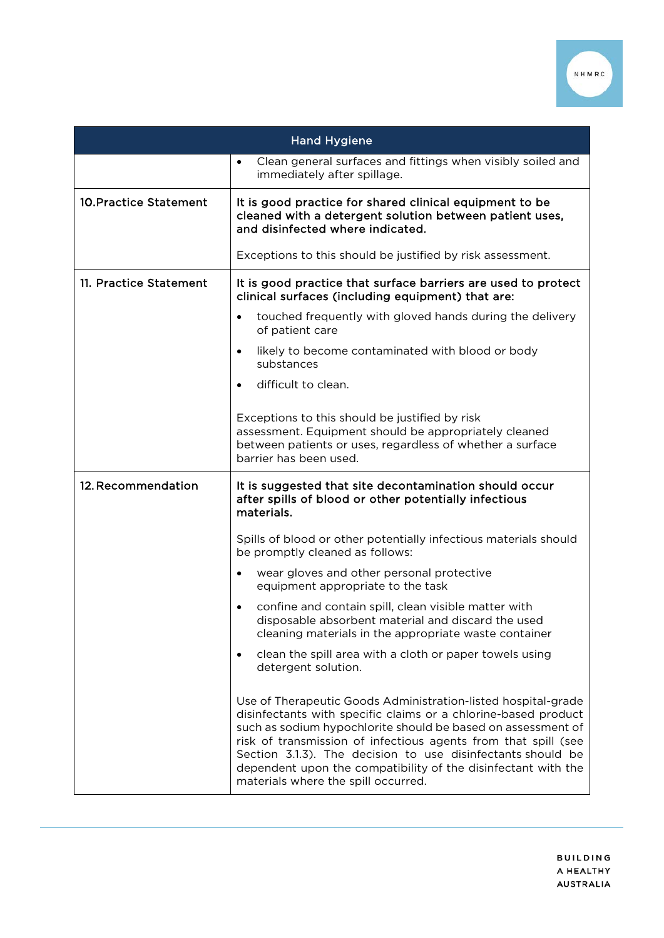

| <b>Hand Hygiene</b>           |                                                                                                                                                                                                                                                                                                                                                                                                                                          |
|-------------------------------|------------------------------------------------------------------------------------------------------------------------------------------------------------------------------------------------------------------------------------------------------------------------------------------------------------------------------------------------------------------------------------------------------------------------------------------|
|                               | Clean general surfaces and fittings when visibly soiled and<br>$\bullet$<br>immediately after spillage.                                                                                                                                                                                                                                                                                                                                  |
| <b>10. Practice Statement</b> | It is good practice for shared clinical equipment to be<br>cleaned with a detergent solution between patient uses,<br>and disinfected where indicated.                                                                                                                                                                                                                                                                                   |
|                               | Exceptions to this should be justified by risk assessment.                                                                                                                                                                                                                                                                                                                                                                               |
| 11. Practice Statement        | It is good practice that surface barriers are used to protect<br>clinical surfaces (including equipment) that are:                                                                                                                                                                                                                                                                                                                       |
|                               | touched frequently with gloved hands during the delivery<br>$\bullet$<br>of patient care                                                                                                                                                                                                                                                                                                                                                 |
|                               | likely to become contaminated with blood or body<br>$\bullet$<br>substances                                                                                                                                                                                                                                                                                                                                                              |
|                               | difficult to clean.<br>$\bullet$                                                                                                                                                                                                                                                                                                                                                                                                         |
|                               | Exceptions to this should be justified by risk<br>assessment. Equipment should be appropriately cleaned<br>between patients or uses, regardless of whether a surface<br>barrier has been used.                                                                                                                                                                                                                                           |
| 12. Recommendation            | It is suggested that site decontamination should occur<br>after spills of blood or other potentially infectious<br>materials.                                                                                                                                                                                                                                                                                                            |
|                               | Spills of blood or other potentially infectious materials should<br>be promptly cleaned as follows:                                                                                                                                                                                                                                                                                                                                      |
|                               | wear gloves and other personal protective<br>equipment appropriate to the task                                                                                                                                                                                                                                                                                                                                                           |
|                               | confine and contain spill, clean visible matter with<br>$\bullet$<br>disposable absorbent material and discard the used<br>cleaning materials in the appropriate waste container                                                                                                                                                                                                                                                         |
|                               | clean the spill area with a cloth or paper towels using<br>$\bullet$<br>detergent solution.                                                                                                                                                                                                                                                                                                                                              |
|                               | Use of Therapeutic Goods Administration-listed hospital-grade<br>disinfectants with specific claims or a chlorine-based product<br>such as sodium hypochlorite should be based on assessment of<br>risk of transmission of infectious agents from that spill (see<br>Section 3.1.3). The decision to use disinfectants should be<br>dependent upon the compatibility of the disinfectant with the<br>materials where the spill occurred. |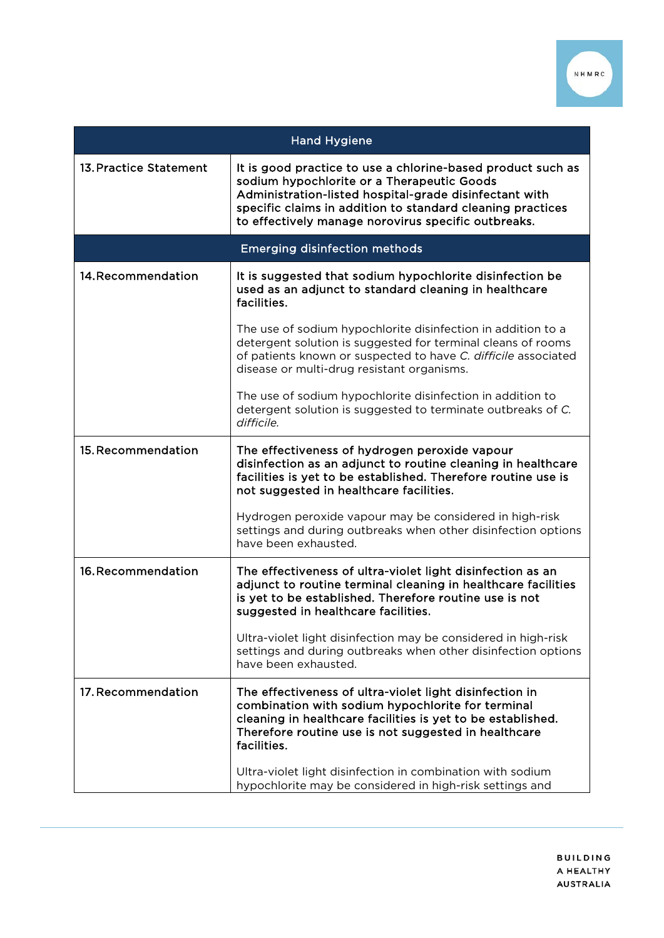

| <b>Hand Hygiene</b>                  |                                                                                                                                                                                                                                                                                          |
|--------------------------------------|------------------------------------------------------------------------------------------------------------------------------------------------------------------------------------------------------------------------------------------------------------------------------------------|
| 13. Practice Statement               | It is good practice to use a chlorine-based product such as<br>sodium hypochlorite or a Therapeutic Goods<br>Administration-listed hospital-grade disinfectant with<br>specific claims in addition to standard cleaning practices<br>to effectively manage norovirus specific outbreaks. |
| <b>Emerging disinfection methods</b> |                                                                                                                                                                                                                                                                                          |
| 14. Recommendation                   | It is suggested that sodium hypochlorite disinfection be<br>used as an adjunct to standard cleaning in healthcare<br>facilities.                                                                                                                                                         |
|                                      | The use of sodium hypochlorite disinfection in addition to a<br>detergent solution is suggested for terminal cleans of rooms<br>of patients known or suspected to have C. difficile associated<br>disease or multi-drug resistant organisms.                                             |
|                                      | The use of sodium hypochlorite disinfection in addition to<br>detergent solution is suggested to terminate outbreaks of C.<br>difficile.                                                                                                                                                 |
| 15. Recommendation                   | The effectiveness of hydrogen peroxide vapour<br>disinfection as an adjunct to routine cleaning in healthcare<br>facilities is yet to be established. Therefore routine use is<br>not suggested in healthcare facilities.                                                                |
|                                      | Hydrogen peroxide vapour may be considered in high-risk<br>settings and during outbreaks when other disinfection options<br>have been exhausted.                                                                                                                                         |
| 16. Recommendation                   | The effectiveness of ultra-violet light disinfection as an<br>adjunct to routine terminal cleaning in healthcare facilities<br>is yet to be established. Therefore routine use is not<br>suggested in healthcare facilities.                                                             |
|                                      | Ultra-violet light disinfection may be considered in high-risk<br>settings and during outbreaks when other disinfection options<br>have been exhausted.                                                                                                                                  |
| 17. Recommendation                   | The effectiveness of ultra-violet light disinfection in<br>combination with sodium hypochlorite for terminal<br>cleaning in healthcare facilities is yet to be established.<br>Therefore routine use is not suggested in healthcare<br>facilities.                                       |
|                                      | Ultra-violet light disinfection in combination with sodium<br>hypochlorite may be considered in high-risk settings and                                                                                                                                                                   |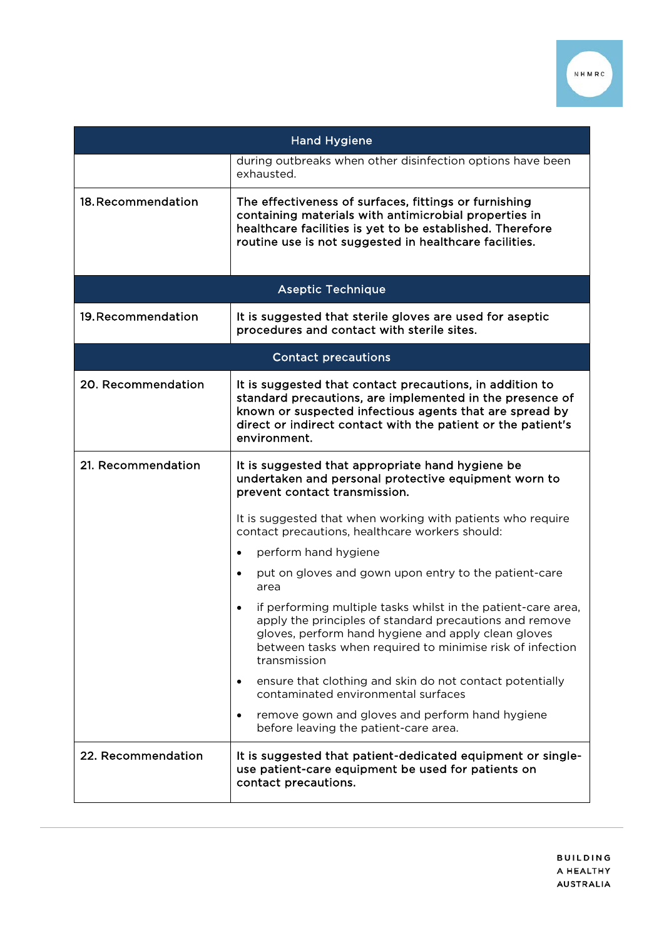

| <b>Hand Hygiene</b>        |                                                                                                                                                                                                                                                                 |
|----------------------------|-----------------------------------------------------------------------------------------------------------------------------------------------------------------------------------------------------------------------------------------------------------------|
|                            | during outbreaks when other disinfection options have been<br>exhausted.                                                                                                                                                                                        |
| 18. Recommendation         | The effectiveness of surfaces, fittings or furnishing<br>containing materials with antimicrobial properties in<br>healthcare facilities is yet to be established. Therefore<br>routine use is not suggested in healthcare facilities.                           |
|                            | <b>Aseptic Technique</b>                                                                                                                                                                                                                                        |
| 19. Recommendation         | It is suggested that sterile gloves are used for aseptic<br>procedures and contact with sterile sites.                                                                                                                                                          |
| <b>Contact precautions</b> |                                                                                                                                                                                                                                                                 |
| 20. Recommendation         | It is suggested that contact precautions, in addition to<br>standard precautions, are implemented in the presence of<br>known or suspected infectious agents that are spread by<br>direct or indirect contact with the patient or the patient's<br>environment. |
| 21. Recommendation         | It is suggested that appropriate hand hygiene be<br>undertaken and personal protective equipment worn to<br>prevent contact transmission.                                                                                                                       |
|                            | It is suggested that when working with patients who require<br>contact precautions, healthcare workers should:                                                                                                                                                  |
|                            | perform hand hygiene<br>$\bullet$                                                                                                                                                                                                                               |
|                            | put on gloves and gown upon entry to the patient-care<br>$\bullet$<br>area                                                                                                                                                                                      |
|                            | if performing multiple tasks whilst in the patient-care area,<br>apply the principles of standard precautions and remove<br>gloves, perform hand hygiene and apply clean gloves<br>between tasks when required to minimise risk of infection<br>transmission    |
|                            | ensure that clothing and skin do not contact potentially<br>$\bullet$<br>contaminated environmental surfaces                                                                                                                                                    |
|                            | remove gown and gloves and perform hand hygiene<br>$\bullet$<br>before leaving the patient-care area.                                                                                                                                                           |
| 22. Recommendation         | It is suggested that patient-dedicated equipment or single-<br>use patient-care equipment be used for patients on<br>contact precautions.                                                                                                                       |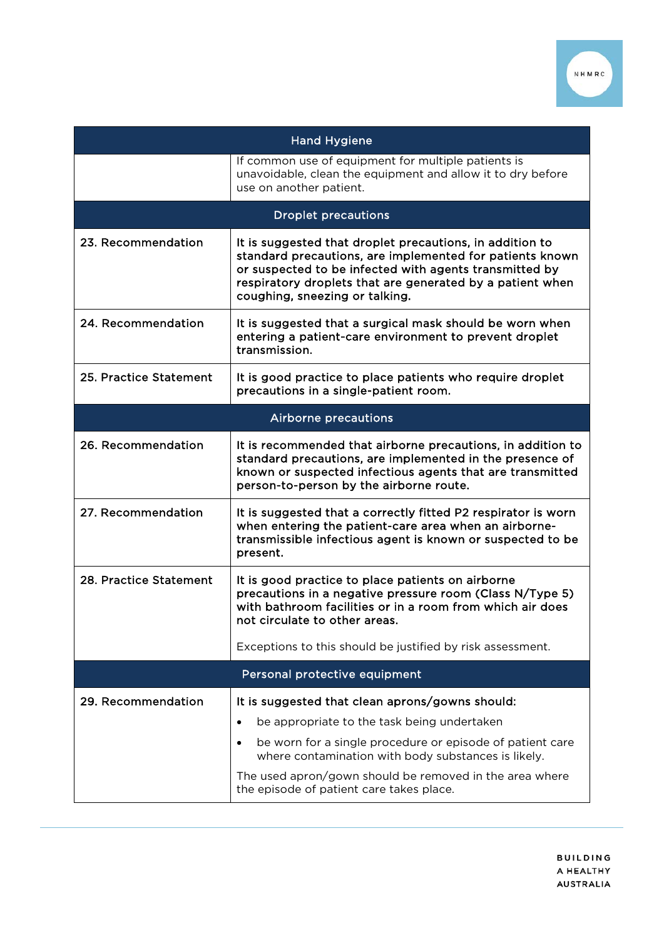

| <b>Hand Hygiene</b>         |                                                                                                                                                                                                                                                                               |
|-----------------------------|-------------------------------------------------------------------------------------------------------------------------------------------------------------------------------------------------------------------------------------------------------------------------------|
|                             | If common use of equipment for multiple patients is<br>unavoidable, clean the equipment and allow it to dry before<br>use on another patient.                                                                                                                                 |
|                             | <b>Droplet precautions</b>                                                                                                                                                                                                                                                    |
| 23. Recommendation          | It is suggested that droplet precautions, in addition to<br>standard precautions, are implemented for patients known<br>or suspected to be infected with agents transmitted by<br>respiratory droplets that are generated by a patient when<br>coughing, sneezing or talking. |
| 24. Recommendation          | It is suggested that a surgical mask should be worn when<br>entering a patient-care environment to prevent droplet<br>transmission.                                                                                                                                           |
| 25. Practice Statement      | It is good practice to place patients who require droplet<br>precautions in a single-patient room.                                                                                                                                                                            |
| <b>Airborne precautions</b> |                                                                                                                                                                                                                                                                               |
| 26. Recommendation          | It is recommended that airborne precautions, in addition to<br>standard precautions, are implemented in the presence of<br>known or suspected infectious agents that are transmitted<br>person-to-person by the airborne route.                                               |
| 27. Recommendation          | It is suggested that a correctly fitted P2 respirator is worn<br>when entering the patient-care area when an airborne-<br>transmissible infectious agent is known or suspected to be<br>present.                                                                              |
| 28. Practice Statement      | It is good practice to place patients on airborne<br>precautions in a negative pressure room (Class N/Type 5)<br>with bathroom facilities or in a room from which air does<br>not circulate to other areas.                                                                   |
|                             | Exceptions to this should be justified by risk assessment.                                                                                                                                                                                                                    |
|                             | Personal protective equipment                                                                                                                                                                                                                                                 |
| 29. Recommendation          | It is suggested that clean aprons/gowns should:                                                                                                                                                                                                                               |
|                             | be appropriate to the task being undertaken<br>$\bullet$                                                                                                                                                                                                                      |
|                             | be worn for a single procedure or episode of patient care<br>where contamination with body substances is likely.                                                                                                                                                              |
|                             | The used apron/gown should be removed in the area where<br>the episode of patient care takes place.                                                                                                                                                                           |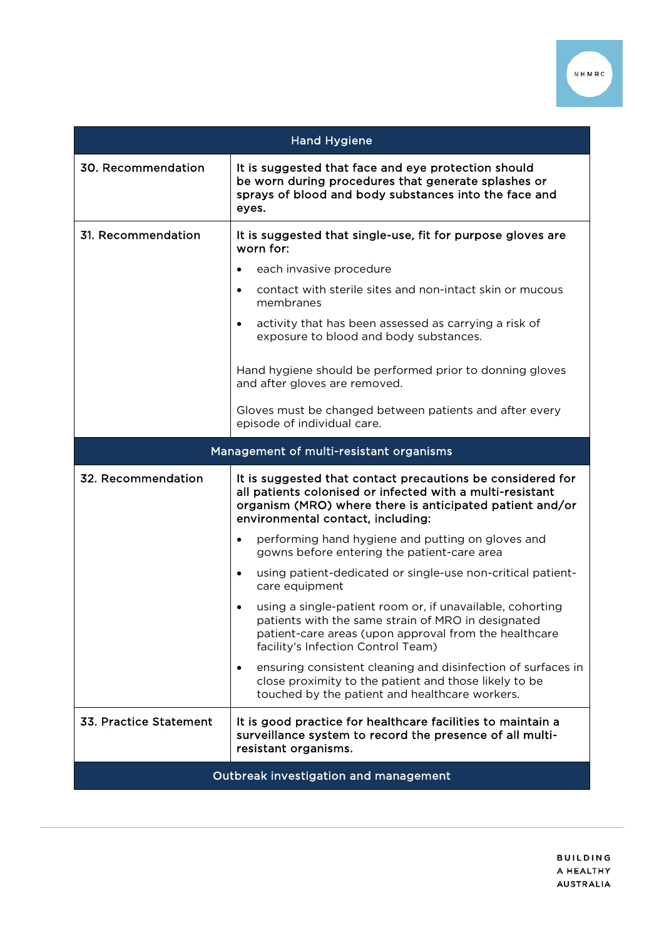

| <b>Hand Hygiene</b>                   |                                                                                                                                                                                                                             |
|---------------------------------------|-----------------------------------------------------------------------------------------------------------------------------------------------------------------------------------------------------------------------------|
| 30. Recommendation                    | It is suggested that face and eye protection should<br>be worn during procedures that generate splashes or<br>sprays of blood and body substances into the face and<br>eyes.                                                |
| 31. Recommendation                    | It is suggested that single-use, fit for purpose gloves are<br>worn for:                                                                                                                                                    |
|                                       | each invasive procedure<br>$\bullet$                                                                                                                                                                                        |
|                                       | contact with sterile sites and non-intact skin or mucous<br>$\bullet$<br>membranes                                                                                                                                          |
|                                       | activity that has been assessed as carrying a risk of<br>$\bullet$<br>exposure to blood and body substances.                                                                                                                |
|                                       | Hand hygiene should be performed prior to donning gloves<br>and after gloves are removed.                                                                                                                                   |
|                                       | Gloves must be changed between patients and after every<br>episode of individual care.                                                                                                                                      |
|                                       | Management of multi-resistant organisms                                                                                                                                                                                     |
| 32. Recommendation                    | It is suggested that contact precautions be considered for<br>all patients colonised or infected with a multi-resistant<br>organism (MRO) where there is anticipated patient and/or<br>environmental contact, including:    |
|                                       | performing hand hygiene and putting on gloves and<br>$\bullet$<br>gowns before entering the patient-care area                                                                                                               |
|                                       | using patient-dedicated or single-use non-critical patient-<br>$\bullet$<br>care equipment                                                                                                                                  |
|                                       | using a single-patient room or, if unavailable, cohorting<br>$\bullet$<br>patients with the same strain of MRO in designated<br>patient-care areas (upon approval from the healthcare<br>facility's Infection Control Team) |
|                                       | ensuring consistent cleaning and disinfection of surfaces in<br>$\bullet$<br>close proximity to the patient and those likely to be<br>touched by the patient and healthcare workers.                                        |
| 33. Practice Statement                | It is good practice for healthcare facilities to maintain a<br>surveillance system to record the presence of all multi-<br>resistant organisms.                                                                             |
| Outbreak investigation and management |                                                                                                                                                                                                                             |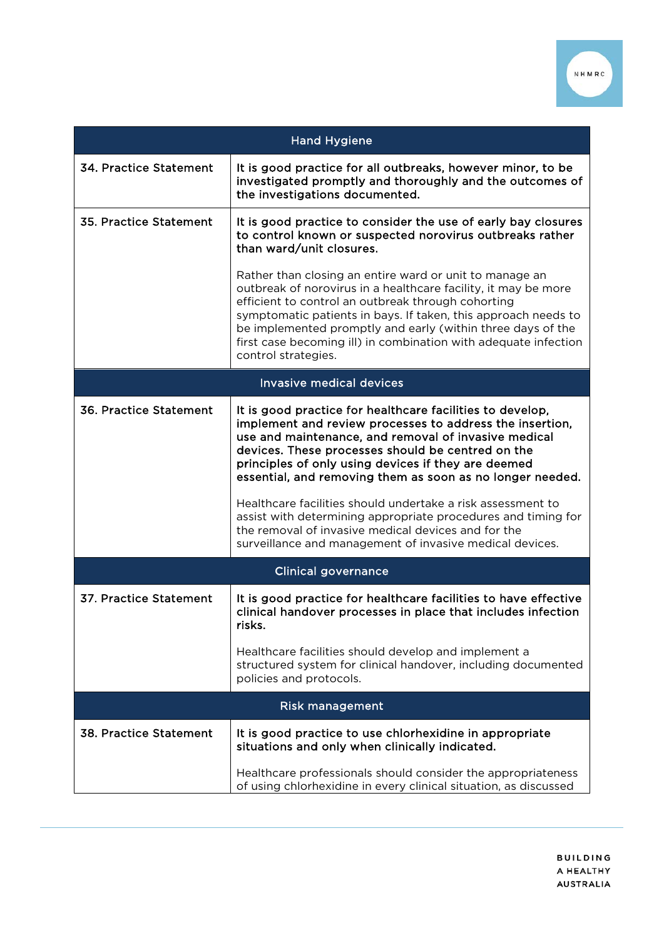

| <b>Hand Hygiene</b>             |                                                                                                                                                                                                                                                                                                                                                                                                                                                                                                                                                                                                           |
|---------------------------------|-----------------------------------------------------------------------------------------------------------------------------------------------------------------------------------------------------------------------------------------------------------------------------------------------------------------------------------------------------------------------------------------------------------------------------------------------------------------------------------------------------------------------------------------------------------------------------------------------------------|
| 34. Practice Statement          | It is good practice for all outbreaks, however minor, to be<br>investigated promptly and thoroughly and the outcomes of<br>the investigations documented.                                                                                                                                                                                                                                                                                                                                                                                                                                                 |
| 35. Practice Statement          | It is good practice to consider the use of early bay closures<br>to control known or suspected norovirus outbreaks rather<br>than ward/unit closures.                                                                                                                                                                                                                                                                                                                                                                                                                                                     |
|                                 | Rather than closing an entire ward or unit to manage an<br>outbreak of norovirus in a healthcare facility, it may be more<br>efficient to control an outbreak through cohorting<br>symptomatic patients in bays. If taken, this approach needs to<br>be implemented promptly and early (within three days of the<br>first case becoming ill) in combination with adequate infection<br>control strategies.                                                                                                                                                                                                |
| <b>Invasive medical devices</b> |                                                                                                                                                                                                                                                                                                                                                                                                                                                                                                                                                                                                           |
| 36. Practice Statement          | It is good practice for healthcare facilities to develop,<br>implement and review processes to address the insertion,<br>use and maintenance, and removal of invasive medical<br>devices. These processes should be centred on the<br>principles of only using devices if they are deemed<br>essential, and removing them as soon as no longer needed.<br>Healthcare facilities should undertake a risk assessment to<br>assist with determining appropriate procedures and timing for<br>the removal of invasive medical devices and for the<br>surveillance and management of invasive medical devices. |
|                                 | <b>Clinical governance</b>                                                                                                                                                                                                                                                                                                                                                                                                                                                                                                                                                                                |
| 37. Practice Statement          | It is good practice for healthcare facilities to have effective<br>clinical handover processes in place that includes infection<br>risks.                                                                                                                                                                                                                                                                                                                                                                                                                                                                 |
|                                 | Healthcare facilities should develop and implement a<br>structured system for clinical handover, including documented<br>policies and protocols.                                                                                                                                                                                                                                                                                                                                                                                                                                                          |
| <b>Risk management</b>          |                                                                                                                                                                                                                                                                                                                                                                                                                                                                                                                                                                                                           |
| <b>38. Practice Statement</b>   | It is good practice to use chlorhexidine in appropriate<br>situations and only when clinically indicated.                                                                                                                                                                                                                                                                                                                                                                                                                                                                                                 |
|                                 | Healthcare professionals should consider the appropriateness<br>of using chlorhexidine in every clinical situation, as discussed                                                                                                                                                                                                                                                                                                                                                                                                                                                                          |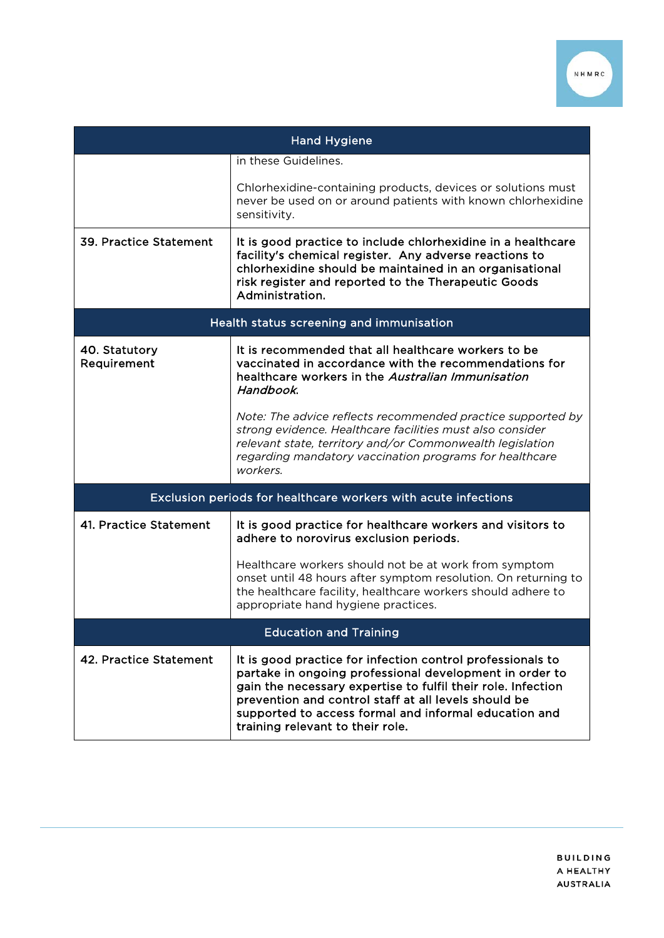

| <b>Hand Hygiene</b>                      |                                                                                                                                                                                                                                                                                                                                            |
|------------------------------------------|--------------------------------------------------------------------------------------------------------------------------------------------------------------------------------------------------------------------------------------------------------------------------------------------------------------------------------------------|
|                                          | in these Guidelines.                                                                                                                                                                                                                                                                                                                       |
|                                          | Chlorhexidine-containing products, devices or solutions must<br>never be used on or around patients with known chlorhexidine<br>sensitivity.                                                                                                                                                                                               |
| 39. Practice Statement                   | It is good practice to include chlorhexidine in a healthcare<br>facility's chemical register. Any adverse reactions to<br>chlorhexidine should be maintained in an organisational<br>risk register and reported to the Therapeutic Goods<br>Administration.                                                                                |
| Health status screening and immunisation |                                                                                                                                                                                                                                                                                                                                            |
| 40. Statutory<br>Requirement             | It is recommended that all healthcare workers to be<br>vaccinated in accordance with the recommendations for<br>healthcare workers in the Australian Immunisation<br>Handbook.                                                                                                                                                             |
|                                          | Note: The advice reflects recommended practice supported by<br>strong evidence. Healthcare facilities must also consider<br>relevant state, territory and/or Commonwealth legislation<br>regarding mandatory vaccination programs for healthcare<br>workers.                                                                               |
|                                          | Exclusion periods for healthcare workers with acute infections                                                                                                                                                                                                                                                                             |
| 41. Practice Statement                   | It is good practice for healthcare workers and visitors to<br>adhere to norovirus exclusion periods.                                                                                                                                                                                                                                       |
|                                          | Healthcare workers should not be at work from symptom<br>onset until 48 hours after symptom resolution. On returning to<br>the healthcare facility, healthcare workers should adhere to<br>appropriate hand hygiene practices.                                                                                                             |
| <b>Education and Training</b>            |                                                                                                                                                                                                                                                                                                                                            |
| 42. Practice Statement                   | It is good practice for infection control professionals to<br>partake in ongoing professional development in order to<br>gain the necessary expertise to fulfil their role. Infection<br>prevention and control staff at all levels should be<br>supported to access formal and informal education and<br>training relevant to their role. |